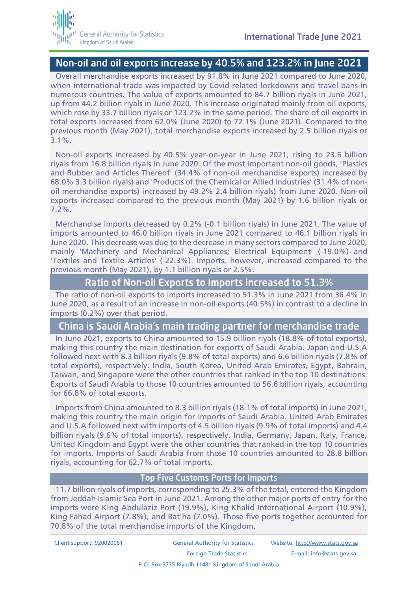## Non-oil and oil exports increase by 40.5% and 123.2% in June 2021

Overall merchandise exports increased by 91.8% in June 2021 compared to June 2020, when international trade was impacted by Covid-related lockdowns and travel bans in numerous countries. The value of exports amounted to 84.7 billion riyals in June 2021, up from 44.2 billion riyals in June 2020. This increase originated mainly from oil exports, which rose by 33.7 billion riyals or 123.2% in the same period. The share of oil exports in total exports increased from 62.0% (June 2020) to 72.1% (June 2021). Compared to the previous month (May 2021), total merchandise exports increased by 2.5 billion riyals or 3.1%.

Non-oil exports increased by 40.5% year-on-year in June 2021, rising to 23.6 billion riyals from 16.8 billion riyals in June 2020. Of the most important non-oil goods, 'Plastics and Rubber and Articles Thereof' (34.4% of non-oil merchandise exports) increased by 68.0% 3.3 billion riyals) and 'Products of the Chemical or Allied Industries' (31.4% of nonoil merchandise exports) increased by 49.2% 2.4 billion riyals) from June 2020. Non-oil exports increased compared to the previous month (May 2021) by 1.6 billion riyals or 7.2%.

Merchandise imports decreased by 0.2% (-0.1 billion riyals) in June 2021. The value of imports amounted to 46.0 billion riyals in June 2021 compared to 46.1 billion riyals in June 2020. This decrease was due to the decrease in many sectors compared to June 2020, mainly 'Machinery and Mechanical Appliances; Electrical Equipment' (-19.0%) and 'Textiles and Textile Articles' (-22.3%). Imports, however, increased compared to the previous month (May 2021), by 1.1 billion riyals or 2.5%.

### Ratio of Non-oil Exports to Imports increased to 51.3%

The ratio of non-oil exports to imports increased to 51.3% in June 2021 from 36.4% in June 2020, as a result of an increase in non-oil exports (40.5%) in contrast to a decline in imports (0.2%) over that period.

## China is Saudi Arabia's main trading partner for merchandise trade

In June 2021, exports to China amounted to 15.9 billion riyals (18.8% of total exports), making this country the main destination for exports of Saudi Arabia. Japan and U.S.A followed next with 8.3 billion riyals (9.8% of total exports) and 6.6 billion riyals (7.8% of total exports), respectively. India, South Korea, United Arab Emirates, Egypt, Bahrain, Taiwan, and Singapore were the other countries that ranked in the top 10 destinations. Exports of Saudi Arabia to those 10 countries amounted to 56.6 billion riyals, accounting for 66.8% of total exports.

Imports from China amounted to 8.3 billion riyals (18.1% of total imports) in June 2021, making this country the main origin for imports of Saudi Arabia. United Arab Emirates and U.S.A followed next with imports of 4.5 billion riyals (9.9% of total imports) and 4.4 billion riyals (9.6% of total imports), respectively. India, Germany, Japan, Italy, France, United Kingdom and Egypt were the other countries that ranked in the top 10 countries for imports. Imports of Saudi Arabia from those 10 countries amounted to 28.8 billion riyals, accounting for 62.7% of total imports.

#### Top Five Customs Ports for Imports

11.7 billion riyals of imports, corresponding to 25.3% of the total, entered the Kingdom from Jeddah Islamic Sea Port in June 2021. Among the other major ports of entry for the imports were King Abdulaziz Port (19.9%), King Khalid International Airport (10.9%), King Fahad Airport (7.8%), and Bat'ha (7.0%). Those five ports together accounted for 70.8% of the total merchandise imports of the Kingdom.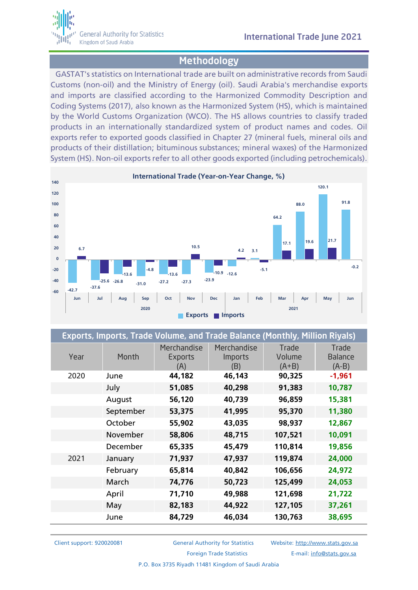

## **Methodology**

GASTAT's statistics on International trade are built on administrative records from Saudi Customs (non-oil) and the Ministry of Energy (oil). Saudi Arabia's merchandise exports and imports are classified according to the Harmonized Commodity Description and Coding Systems (2017), also known as the Harmonized System (HS), which is maintained by the World Customs Organization (WCO). The HS allows countries to classify traded products in an internationally standardized system of product names and codes. Oil exports refer to exported goods classified in Chapter 27 (mineral fuels, mineral oils and products of their distillation; bituminous substances; mineral waxes) of the Harmonized System (HS). Non-oil exports refer to all other goods exported (including petrochemicals).



| Exports, Imports, Trade Volume, and Trade Balance (Monthly, Million Riyals) |           |                               |                                      |                            |                                    |  |
|-----------------------------------------------------------------------------|-----------|-------------------------------|--------------------------------------|----------------------------|------------------------------------|--|
| Year                                                                        | Month     | Merchandise<br>Exports<br>(A) | Merchandise<br><b>Imports</b><br>(B) | Trade<br>Volume<br>$(A+B)$ | Trade<br><b>Balance</b><br>$(A-B)$ |  |
| 2020                                                                        | June      | 44,182                        | 46,143                               | 90,325                     | $-1,961$                           |  |
|                                                                             | July      | 51,085                        | 40,298                               | 91,383                     | 10,787                             |  |
|                                                                             | August    | 56,120                        | 40,739                               | 96,859                     | 15,381                             |  |
|                                                                             | September | 53,375                        | 41,995                               | 95,370                     | 11,380                             |  |
|                                                                             | October   | 55,902                        | 43,035                               | 98,937                     | 12,867                             |  |
|                                                                             | November  | 58,806                        | 48,715                               | 107,521                    | 10,091                             |  |
|                                                                             | December  | 65,335                        | 45,479                               | 110,814                    | 19,856                             |  |
| 2021                                                                        | January   | 71,937                        | 47,937                               | 119,874                    | 24,000                             |  |
|                                                                             | February  | 65,814                        | 40,842                               | 106,656                    | 24,972                             |  |
|                                                                             | March     | 74,776                        | 50,723                               | 125,499                    | 24,053                             |  |
|                                                                             | April     | 71,710                        | 49,988                               | 121,698                    | 21,722                             |  |
|                                                                             | May       | 82,183                        | 44,922                               | 127,105                    | 37,261                             |  |
|                                                                             | June      | 84,729                        | 46,034                               | 130,763                    | 38,695                             |  |

Client support: 920020081 General Authority for Statistics Website: [http://www.stats.gov.sa](http://www.stats.gov.sa/) Foreign Trade Statistics E-mail: [info@stats.gov.sa](mailto:info@stats.gov.sa)

P.O. Box 3735 Riyadh 11481 Kingdom of Saudi Arabia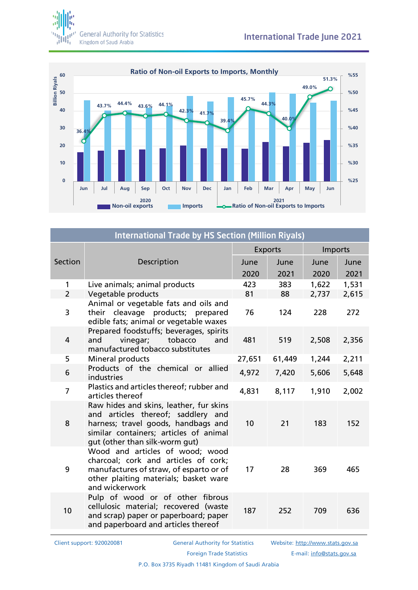



| <b>International Trade by HS Section (Million Riyals)</b> |                                                                                                                                                                                                  |                |        |         |       |  |
|-----------------------------------------------------------|--------------------------------------------------------------------------------------------------------------------------------------------------------------------------------------------------|----------------|--------|---------|-------|--|
|                                                           |                                                                                                                                                                                                  | <b>Exports</b> |        | Imports |       |  |
| Section                                                   | Description                                                                                                                                                                                      | June           | June   | June    | June  |  |
|                                                           |                                                                                                                                                                                                  | 2020           | 2021   | 2020    | 2021  |  |
| $\mathbf{1}$                                              | Live animals; animal products                                                                                                                                                                    | 423            | 383    | 1,622   | 1,531 |  |
| $\overline{2}$                                            | Vegetable products                                                                                                                                                                               | 81             | 88     | 2,737   | 2,615 |  |
| 3                                                         | Animal or vegetable fats and oils and<br>their cleavage products; prepared<br>edible fats; animal or vegetable waxes                                                                             | 76             | 124    | 228     | 272   |  |
| 4                                                         | Prepared foodstuffs; beverages, spirits<br>vinegar;<br>tobacco<br>and<br>and<br>manufactured tobacco substitutes                                                                                 | 481            | 519    | 2,508   | 2,356 |  |
| 5                                                         | Mineral products                                                                                                                                                                                 | 27,651         | 61,449 | 1,244   | 2,211 |  |
| 6                                                         | Products of the chemical or allied<br>industries                                                                                                                                                 | 4,972          | 7,420  | 5,606   | 5,648 |  |
| $\overline{7}$                                            | Plastics and articles thereof; rubber and<br>articles thereof                                                                                                                                    | 4,831          | 8,117  | 1,910   | 2,002 |  |
| 8                                                         | Raw hides and skins, leather, fur skins<br>and articles thereof; saddlery and<br>harness; travel goods, handbags and<br>similar containers; articles of animal<br>gut (other than silk-worm gut) | 10             | 21     | 183     | 152   |  |
| 9                                                         | Wood and articles of wood; wood<br>charcoal; cork and articles of cork;<br>manufactures of straw, of esparto or of<br>other plaiting materials; basket ware<br>and wickerwork                    | 17             | 28     | 369     | 465   |  |
| 10                                                        | Pulp of wood or of other fibrous<br>cellulosic material; recovered (waste<br>and scrap) paper or paperboard; paper<br>and paperboard and articles thereof                                        | 187            | 252    | 709     | 636   |  |

Client support: 920020081 General Authority for Statistics Website: [http://www.stats.gov.sa](http://www.stats.gov.sa/)

Foreign Trade Statistics **E-mail:** [info@stats.gov.sa](mailto:info@stats.gov.sa)